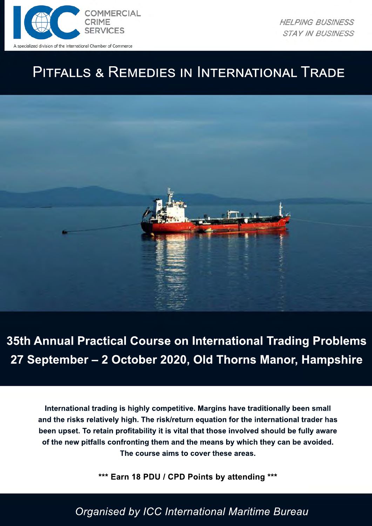

**HELPING BUSINESS STAY IN BUSINESS** 

# PITFALLS & REMEDIES IN INTERNATIONAL TRADE



**35th Annual Practical Course on International Trading Problems 27 September – 2 October 2020, Old Thorns Manor, Hampshire**

**International trading is highly competitive. Margins have traditionally been small and the risks relatively high. The risk/return equation for the international trader has been upset. To retain profitability it is vital that those involved should be fully aware of the new pitfalls confronting them and the means by which they can be avoided. The course aims to cover these areas.** 

**\*\*\* Earn 18 PDU / CPD Points by attending \*\*\***

*Organised by ICC International Maritime Bureau*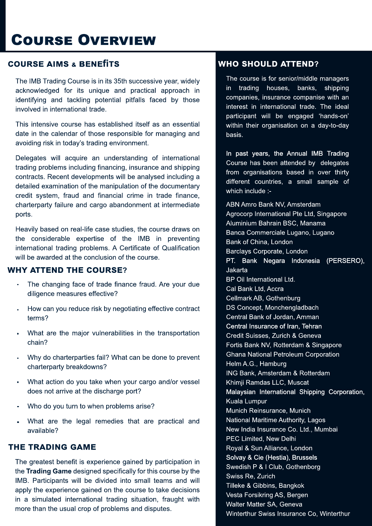# **COURSE OVERVIEW**

### **COURSE AIMS & BENEfiTS**

The IMB Trading Course is in its 35th successive year, widely acknowledged for its unique and practical approach in identifying and tackling potential pitfalls faced by those involved in international trade.

This intensive course has established itself as an essential date in the calendar of those responsible for managing and avoiding risk in today's trading environment.

Delegates will acquire an understanding of international trading problems including financing, insurance and shipping contracts. Recent developments will be analysed including a detailed examination of the manipulation of the documentary credit system, fraud and financial crime in trade finance, charterparty failure and cargo abandonment at intermediate ports.

Heavily based on real-life case studies, the course draws on the considerable expertise of the IMB in preventing international trading problems. A Certificate of Qualification will be awarded at the conclusion of the course.

### **WHY ATTEND THE COURSE?**

- The changing face of trade finance fraud. Are your due diligence measures effective?
- How can you reduce risk by negotiating effective contract terms?
- What are the major vulnerabilities in the transportation chain?
- Why do charterparties fail? What can be done to prevent charterparty breakdowns?
- What action do you take when your cargo and/or vessel does not arrive at the discharge port?
- Who do you turn to when problems arise?
- What are the legal remedies that are practical and available?

### **THE TRADING GAME**

The greatest benefit is experience gained by participation in the **Trading Game** designed specifically for this course by the IMB. Participants will be divided into small teams and will apply the experience gained on the course to take decisions in a simulated international trading situation, fraught with more than the usual crop of problems and disputes.

### **WHO SHOULD ATTEND?**

The course is for senior/middle managers in trading houses, banks, shipping companies, insurance companise with an interest in international trade. The ideal participant will be engaged 'hands-on' within their organisation on a day-to-day basis.

In past years, the Annual IMB Trading Course has been attended by delegates from organisations based in over thirty different countries, a small sample of which include :-

ABN Amro Bank NV, Amsterdam Agrocorp International Pte Ltd, Singapore Aluminium Bahrain BSC, Manama Banca Commerciale Lugano, Lugano Bank of China, London Barclays Corporate, London PT. Bank Negara Indonesia (PERSERO), Jakarta BP Oil International Ltd. Cal Bank Ltd, Accra Cellmark AB, Gothenburg DS Concept, Monchengladbach Central Bank of Jordan, Amman Central Insurance of Iran, Tehran Credit Suisses, Zurich & Geneva Fortis Bank NV, Rotterdam & Singapore Ghana National Petroleum Corporation Helm A.G., Hamburg ING Bank, Amsterdam & Rotterdam Khimji Ramdas LLC, Muscat Malaysian International Shipping Corporation, Kuala Lumpur Munich Reinsurance, Munich National Maritime Authority, Lagos New India Insurance Co. Ltd., Mumbai PEC Limited, New Delhi Royal & Sun Alliance, London Solvay & Cie (Hestia), Brussels Swedish P & I Club, Gothenborg Swiss Re, Zurich Tilleke & Gibbins, Bangkok Vesta Forsikring AS, Bergen Walter Matter SA, Geneva Winterthur Swiss Insurance Co, Winterthur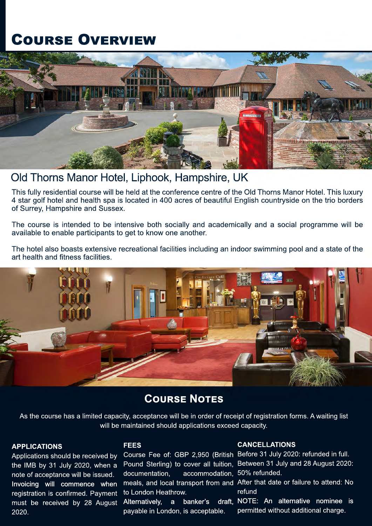# **COURSE OVERVIEW**



## Old Thorns Manor Hotel, Liphook, Hampshire, UK

This fully residential course will be held at the conference centre of the Old Thorns Manor Hotel. This luxury 4 star golf hotel and health spa is located in 400 acres of beautiful English countryside on the trio borders of Surrey, Hampshire and Sussex.

The course is intended to be intensive both socially and academically and a social programme will be available to enable participants to get to know one another.

The hotel also boasts extensive recreational facilities including an indoor swimming pool and a state of the art health and fitness facilities.



## **COURSE NOTES**

As the course has a limited capacity, acceptance will be in order of receipt of registration forms. A waiting list will be maintained should applications exceed capacity.

#### **APPLICATIONS**

Applications should be received by the IMB by 31 July 2020, when a note of acceptance will be issued. Invoicing will commence when registration is confirmed. Payment must be received by 28 August 2020.

#### **FEES**

documentation, accommodation, 50% refunded. to London Heathrow. Alternatively, a banker's payable in London, is acceptable.

#### **CANCELLATIONS**

Course Fee of: GBP 2,950 (British Before 31 July 2020: refunded in full. Pound Sterling) to cover all tuition, Between 31 July and 28 August 2020:

meals, and local transport from and After that date or failure to attend: No refund

> draft. NOTE: An alternative nominee is permitted without additional charge.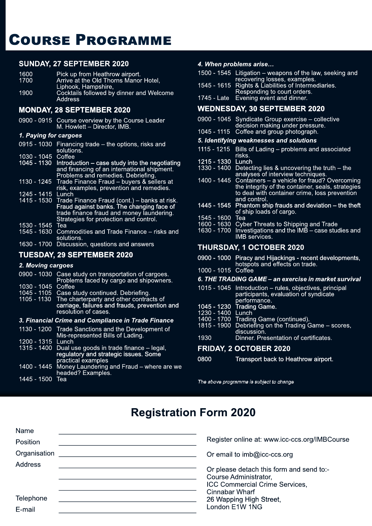# **COURSE PROGRAMME**

#### **SUNDAY, 27 SEPTEMBER 2020**

| 1600 | Pick up from Heathrow airport.                      |
|------|-----------------------------------------------------|
| 1700 | Arrive at the Old Thorns Manor Hotel.               |
|      | Liphook, Hampshire,                                 |
| 1900 | Cocktails followed by dinner and Welcome<br>Address |

#### **MONDAY, 28 SEPTEMBER 2020**

0900 - 0915 Course overview by the Course Leader M. Howlett – Director, IMB.

#### *1. Paying for cargoes*

| $0915 - 1030$      | Financing trade $-$ the options, risks and<br>solutions.                                                                                                                                     |
|--------------------|----------------------------------------------------------------------------------------------------------------------------------------------------------------------------------------------|
| 1030 - 1045        | Coffee                                                                                                                                                                                       |
| 1045 - 1130        | Introduction – case study into the negotiating<br>and financing of an international shipment.<br>Problems and remedies. Debriefing.                                                          |
|                    | 1130 - 1245 Trade Finance Fraud - buyers & sellers at<br>risk, examples, prevention and remedies.                                                                                            |
| 1245 - 1415        | Lunch                                                                                                                                                                                        |
|                    | 1415 - 1530 Trade Finance Fraud (cont.) - banks at risk.<br>Fraud against banks. The changing face of<br>trade finance fraud and money laundering.<br>Strategies for protection and control. |
| 1530 - 1545        | Tea                                                                                                                                                                                          |
| 1545 - 1630        | Commodities and Trade Finance – risks and<br>solutions.                                                                                                                                      |
| $\sqrt{2}$<br>1700 | Disawaalaa amaalisaa saal sasma                                                                                                                                                              |

1700 Discussion, questions and answers

#### **TUESDAY, 29 SEPTEMBER 2020**

#### *2. Moving cargoes*

|                   | 0900 - 1030 Case study on transportation of cargoes.<br>Problems faced by cargo and shipowners.                              |
|-------------------|------------------------------------------------------------------------------------------------------------------------------|
| 1030 - 1045       | Coffee                                                                                                                       |
|                   | 1045 - 1105 Case study continued. Debriefing.                                                                                |
|                   | 1105 - 1130 The charterparty and other contracts of<br>carriage, failures and frauds, prevention and<br>resolution of cases. |
|                   | 3. Financial Crime and Compliance in Trade Finance                                                                           |
|                   |                                                                                                                              |
|                   | 1130 - 1200 Trade Sanctions and the Development of<br>Mis-represented Bills of Lading.                                       |
| 1200 - 1315 Lunch | 1315 - 1400 Dual use goods in trade finance – legal,                                                                         |

| p.aotioar o <del>xanipioo</del><br>1400 - 1445 Money Laundering and Fraud – where are we |
|------------------------------------------------------------------------------------------|
| headed? Examples.                                                                        |
|                                                                                          |

1445 - 1500 Tea

#### *4. When problems arise…*

| 1500 - 1545 Litigation – weapons of the law, seeking and |
|----------------------------------------------------------|
| recovering losses, examples.                             |
| 1545 - 1615 Rights & Liabilities of Intermediaries.      |
| Responding to court orders.                              |
| 1745 - Late Evening event and dinner.                    |
|                                                          |

#### **WEDNESDAY, 30 SEPTEMBER 2020**

| 0900 - 1045 Syndicate Group exercise - collective |
|---------------------------------------------------|
| decision making under pressure.                   |

#### 1045 - 1115 Coffee and group photograph. *5. Identifying weaknesses and solutions*

- 1115 1215 Bills of Lading problems and associated
- risks.
- 1215 1330<br>1330 1400 Detecting lies  $&$  uncovering the truth – the analyses of interview techniques.<br>1400 - 1445 Containers – a vehicle for fraud?
- Containers a vehicle for fraud? Overcoming the integrity of the container, seals, strategies to deal with container crime, loss prevention and control.
- 1445 1545 Phantom ship frauds and deviation the theft of ship loads of cargo.
- 1545 1600<br>1600 1630
- 1600 1630 Cyber Threats to Shipping and Trade
- 1630 1700 Investigations and the IMB case studies and IMB services.

#### **THURSDAY, 1 OCTOBER 2020**

- 0900 1000 Piracy and Hijackings recent developments, hotspots and effects on trade.
- 1000 1015 Coffee

#### *6. THE TRADING GAME – an exercise in market survival*

|                                                                    | 1015 - 1045 Introduction – rules, objectives, principal<br>participants, evaluation of syndicate <sup>1</sup> |
|--------------------------------------------------------------------|---------------------------------------------------------------------------------------------------------------|
| $\overline{A}$ $\cap$ $\overline{A}$ $\overline{C}$ $\overline{C}$ | performance.<br>$4000 - 7.2$ dia $2.2$                                                                        |

- 1045 1230 Trading Game.
- 1230 1400 Lunch 1400 - 1700 Trading Game (continued).
- 1815 1900 Debriefing on the Trading Game scores,
- discussion.<br>1930 Dinner. Pre Dinner. Presentation of certificates.

#### **FRIDAY, 2 OCTOBER 2020**

| 0800 | Transport back to Heathrow airport. |
|------|-------------------------------------|
|------|-------------------------------------|

The above programme is subject to change

## **Registration Form 2020**

| Register online at: www.icc-ccs.org/IMBCourse                                                                         |
|-----------------------------------------------------------------------------------------------------------------------|
| Or email to imb@icc-ccs.org                                                                                           |
| Or please detach this form and send to:-<br>Course Administrator,<br>ICC Commercial Crime Services,<br>Cinnabar Wharf |
| 26 Wapping High Street,                                                                                               |
| London E1W 1NG                                                                                                        |
|                                                                                                                       |